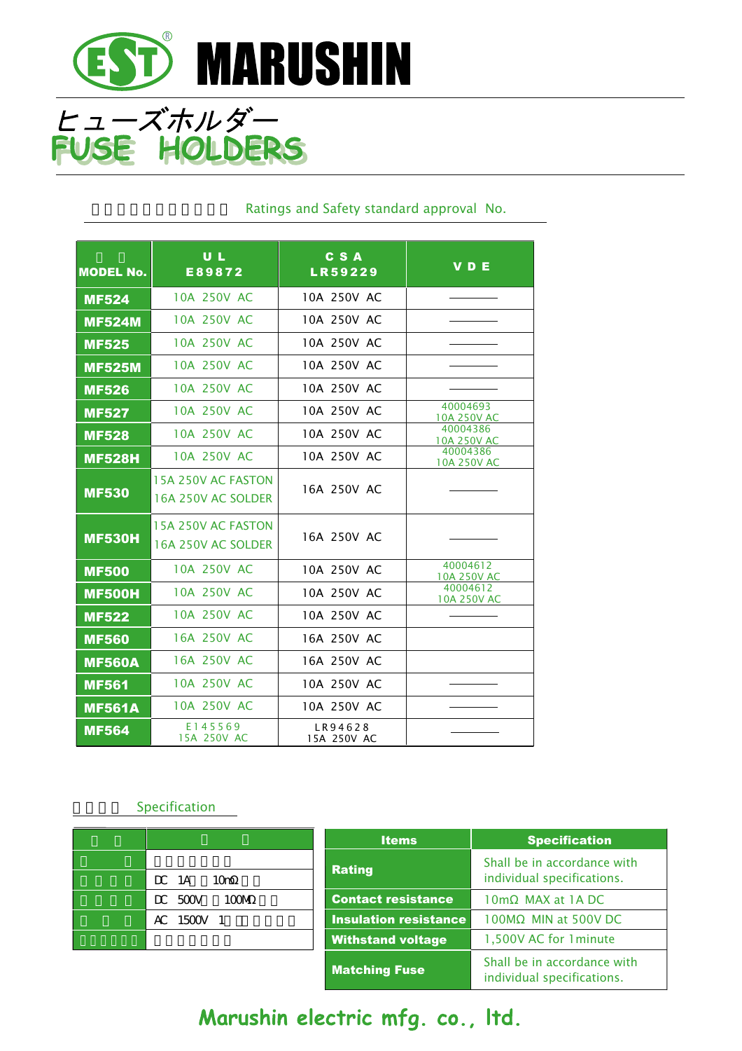

# ヒューズホルダー OLDERS

| <b>MODEL No.</b> | <b>UL</b><br>E89872                      | <b>CSA</b><br>LR59229  | <b>VDE</b>              |
|------------------|------------------------------------------|------------------------|-------------------------|
| <b>MF524</b>     | 10A 250V AC                              | 10A 250V AC            |                         |
| <b>MF524M</b>    | 10A 250V AC                              | 10A 250V AC            |                         |
| <b>MF525</b>     | 10A 250V AC                              | 10A 250V AC            |                         |
| <b>MF525M</b>    | 10A 250V AC                              | 10A 250V AC            |                         |
| <b>MF526</b>     | 10A 250V AC                              | 10A 250V AC            |                         |
| <b>MF527</b>     | 10A 250V AC                              | 10A 250V AC            | 40004693<br>10A 250V AC |
| <b>MF528</b>     | 10A 250V AC                              | 10A 250V AC            | 40004386<br>10A 250V AC |
| <b>MF528H</b>    | 10A 250V AC                              | 10A 250V AC            | 40004386<br>10A 250V AC |
| <b>MF530</b>     | 15A 250V AC FASTON<br>16A 250V AC SOLDER | 16A 250V AC            |                         |
| <b>MF530H</b>    | 15A 250V AC FASTON<br>16A 250V AC SOLDER | 16A 250V AC            |                         |
| <b>MF500</b>     | 10A 250V AC                              | 10A 250V AC            | 40004612<br>10A 250V AC |
| <b>MF500H</b>    | 10A 250V AC                              | 10A 250V AC            | 40004612<br>10A 250V AC |
| <b>MF522</b>     | 10A 250V AC                              | 10A 250V AC            |                         |
| <b>MF560</b>     | 16A 250V AC                              | 16A 250V AC            |                         |
| <b>MF560A</b>    | 16A 250V AC                              | 16A 250V AC            |                         |
| <b>MF561</b>     | 10A 250V AC                              | 10A 250V AC            |                         |
| <b>MF561A</b>    | 10A 250V AC                              | 10A 250V AC            |                         |
| <b>MF564</b>     | E145569<br>15A 250V AC                   | LR94628<br>15A 250V AC |                         |

#### Ratings and Safety standard approval No.

### Specification

|                            | <b>Items</b>                 | <b>Specification</b>                                      |
|----------------------------|------------------------------|-----------------------------------------------------------|
| 10 <sub>m</sub><br>$DC$ 1A | <b>Rating</b>                | Shall be in accordance with<br>individual specifications. |
| $DC$ 500 $V$<br>100M       | <b>Contact resistance</b>    | MAX at 1A DC<br>10 <sub>m</sub>                           |
| AC 1500V 1                 | <b>Insulation resistance</b> | MIN at 500V DC<br>100M                                    |
|                            | <b>Withstand voltage</b>     | 1,500V AC for 1 minute                                    |
|                            | <b>Matching Fuse</b>         | Shall be in accordance with<br>individual specifications. |

## Marushin electric mfg. co., Itd.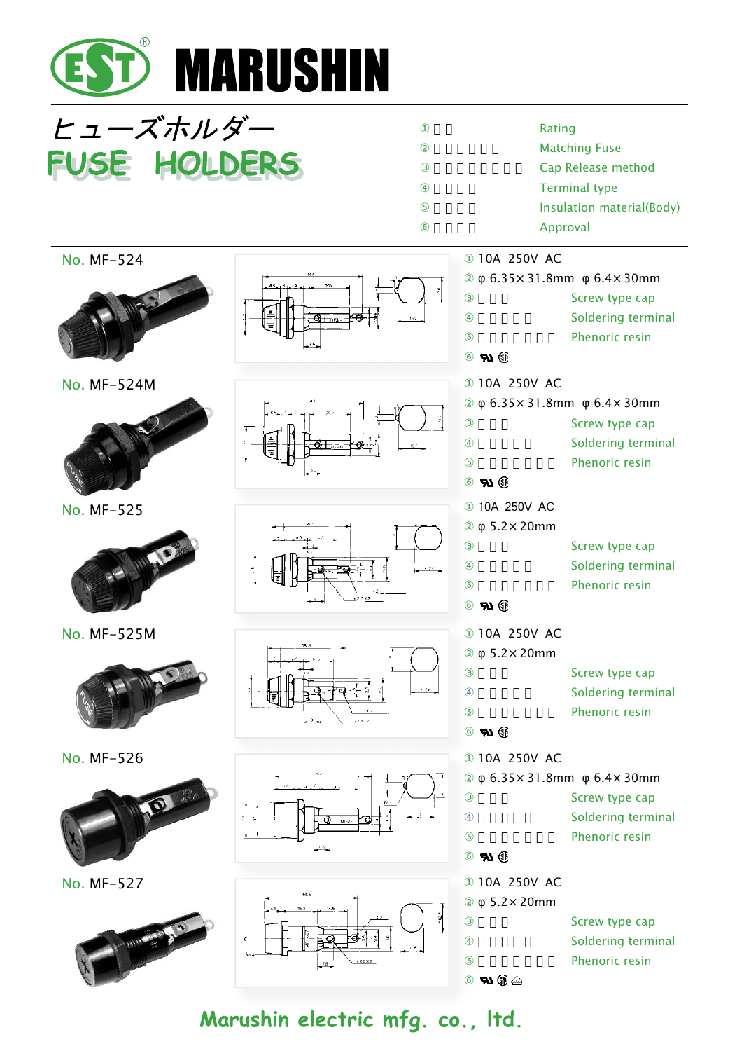

# ヒューズホルダー **FUSE HOLDERS**

**Rating Matching Fuse** Cap Release method Terminal type Insulation material(Body)

## No. MF-524



No. MF-524M



No. MF-525



No. MF-525M



No. MF-526



No. MF-527















| Approval |                       |                       |  |  |
|----------|-----------------------|-----------------------|--|--|
|          | 10A 250V AC           |                       |  |  |
|          | $6.35 \times 31.8$ mm | $6.4 \times 30$ mm    |  |  |
| ř        |                       | Screw type cap        |  |  |
|          |                       | Soldering terminal    |  |  |
|          |                       | <b>Phenoric resin</b> |  |  |
|          | RN ®                  |                       |  |  |
|          | 10A 250V AC           |                       |  |  |
|          | $6.35 \times 31.8$ mm | $6.4 \times 30$ mm    |  |  |
| â        |                       | Screw type cap        |  |  |
|          |                       | Soldering terminal    |  |  |
|          |                       | <b>Phenoric resin</b> |  |  |
|          | <b>RI</b> ®           |                       |  |  |
|          | 10A 250V AC           |                       |  |  |
|          | $5.2 \times 20$ mm    |                       |  |  |
|          |                       | Screw type cap        |  |  |
|          |                       | Soldering terminal    |  |  |
|          |                       | <b>Phenoric resin</b> |  |  |
|          | RN ®                  |                       |  |  |
|          | 10A 250V AC           |                       |  |  |
|          | $5.2 \times 20$ mm    |                       |  |  |
|          |                       | Screw type cap        |  |  |
|          |                       | Soldering terminal    |  |  |
|          |                       | <b>Phenoric resin</b> |  |  |
|          | RN ®                  |                       |  |  |
|          | 10A 250V AC           |                       |  |  |
|          | $6.35 \times 31.8$ mm | $6.4 \times 30$ mm    |  |  |
|          |                       | Screw type cap        |  |  |
|          |                       | Soldering terminal    |  |  |
|          |                       | <b>Phenoric resin</b> |  |  |
|          | <b>Al</b> ®           |                       |  |  |
|          | 10A 250V AC           |                       |  |  |
|          | $5.2 \times 20$ mm    |                       |  |  |
| $-127$   |                       | Screw type cap        |  |  |
|          |                       | Soldering terminal    |  |  |
|          |                       | <b>Phenoric resin</b> |  |  |
|          | ® A                   |                       |  |  |
|          |                       |                       |  |  |

Marushin electric mfg. co., Itd.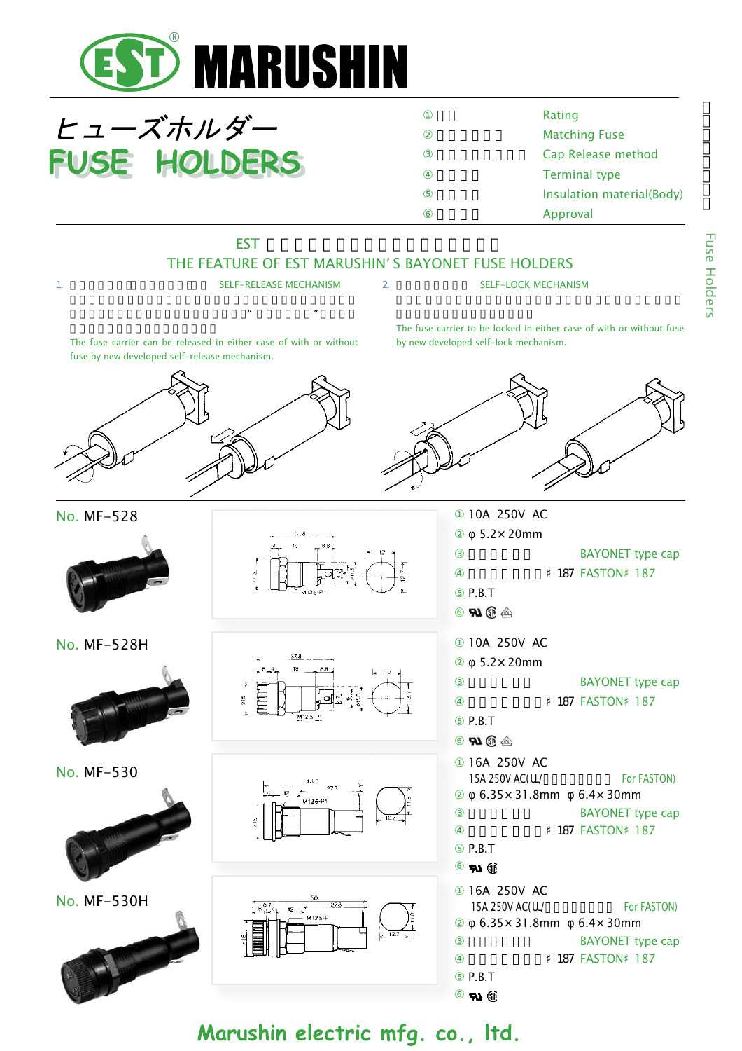

ヒューズホルダー **FUSE HOLDERS** 

**Rating Matching Fuse** Cap Release method **Terminal type** Insulation material(Body) Approval



Marushin electric mfg. co., ltd.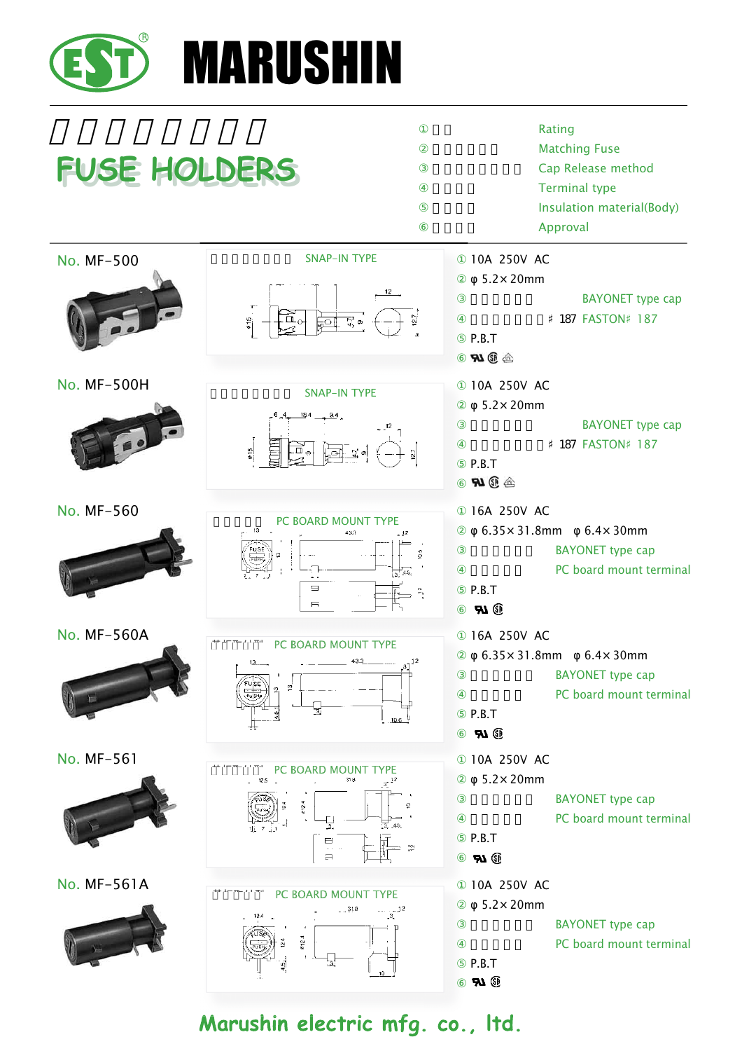

# **FUSE HOLDERS FUSE HOLDERS**



No. MF-500H



No. MF-560



No. MF-560A



No. MF-561



No. MF-561A









**Rating Matching Fuse** Cap Release method **Terminal type** Insulation material(Body) Approval



## Marushin electric mfg. co., ltd.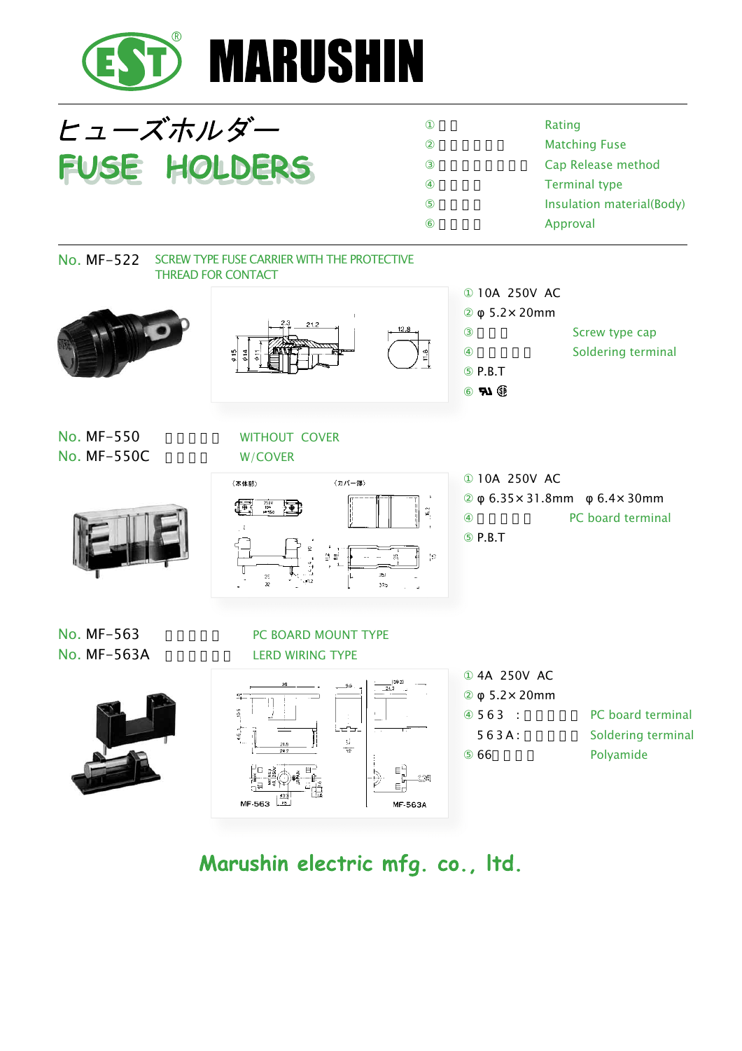

ヒューズホルダー **FUSE HOLDERS** 

Rating Matching Fuse Cap Release method **Terminal type** Insulation material(Body) Approval







10A 250V AC 5.2×20mm Screw type cap Soldering terminal P.B.T

**RA** OP

No. MF-550 WITHOUT COVER No. MF-550C W/COVER







10A 250V AC  $6.35 \times 31.8$ mm  $6.4 \times 30$ mm PC board terminal P.B.T

## No. MF-563 PC BOARD MOUNT TYPE No. MF-563A LERD WIRING TYPE



4A 250V AC 5.2×20mm 563 : PC board terminal 5 6 3 A: Soldering terminal 66 Polyamide

Marushin electric mfg. co., Itd.